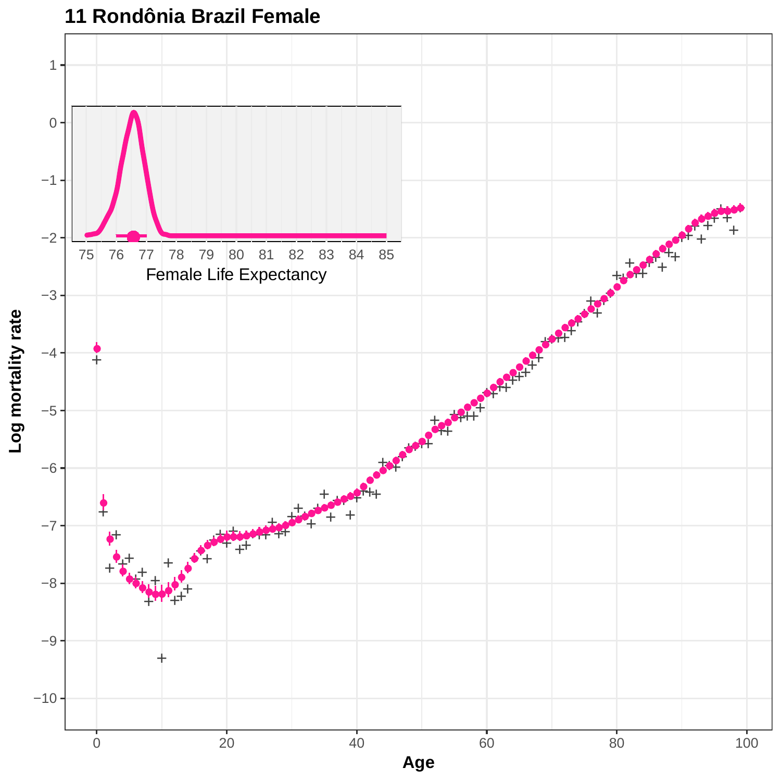

## **11 Rondônia Brazil Female**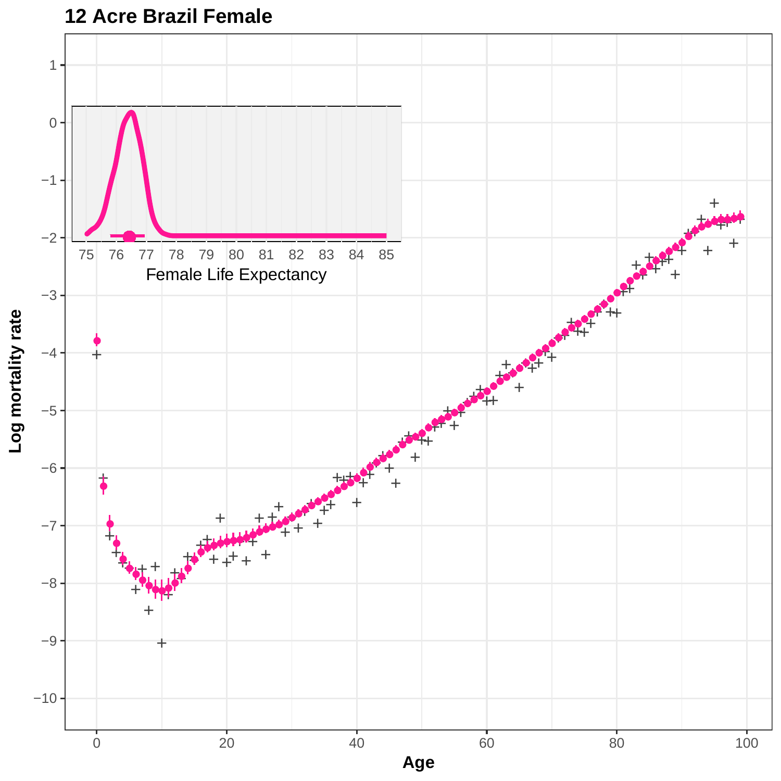

### **12 Acre Brazil Female**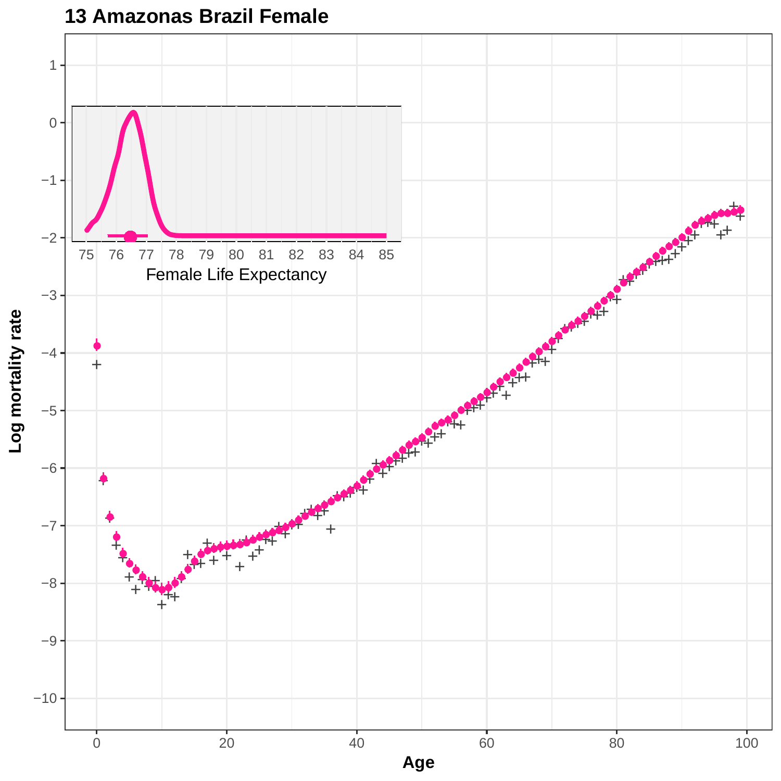

#### **13 Amazonas Brazil Female**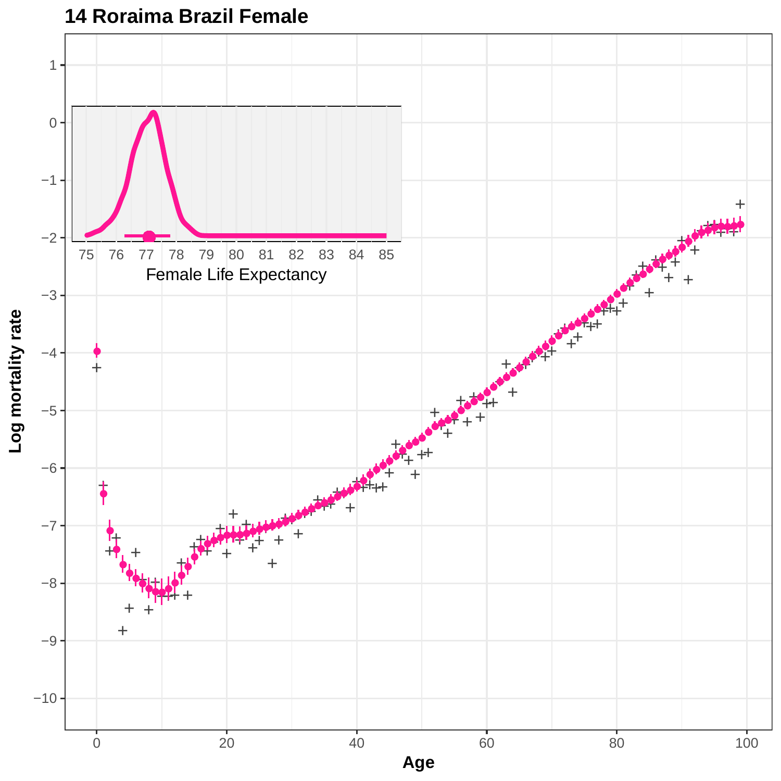

### **14 Roraima Brazil Female**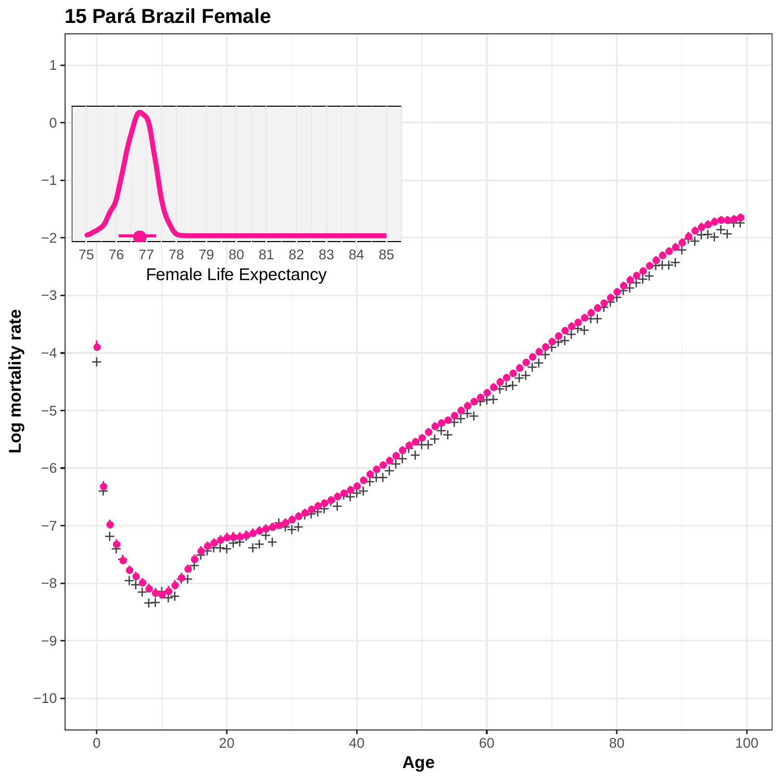

**15 Pará Brazil Female**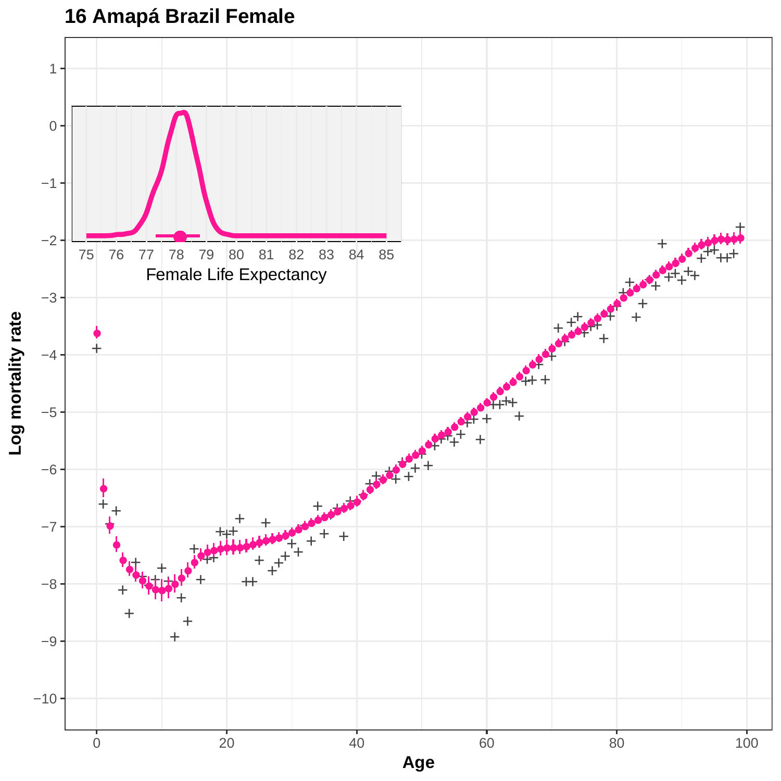

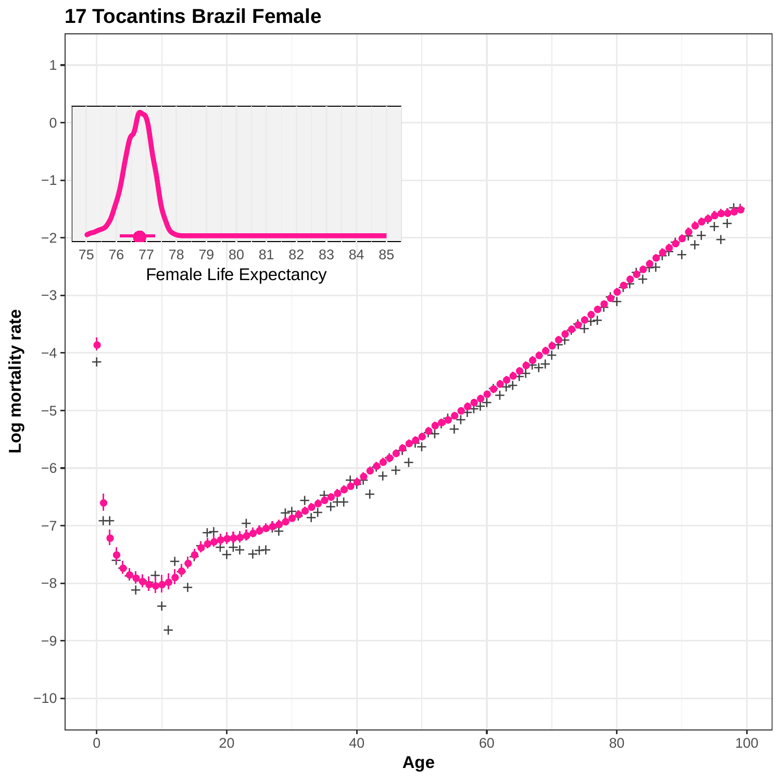

### **17 Tocantins Brazil Female**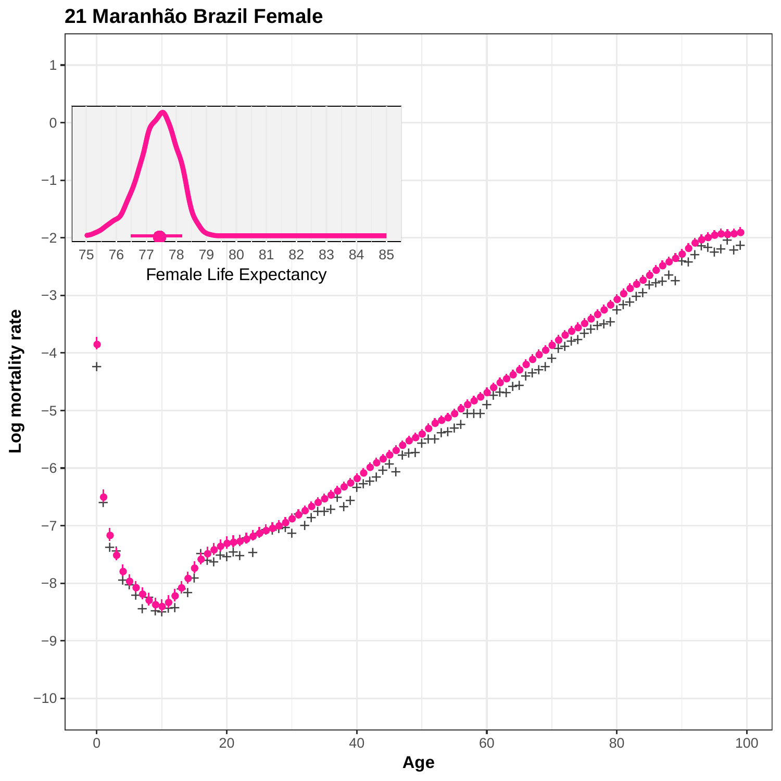

**21 Maranhão Brazil Female**

**Age**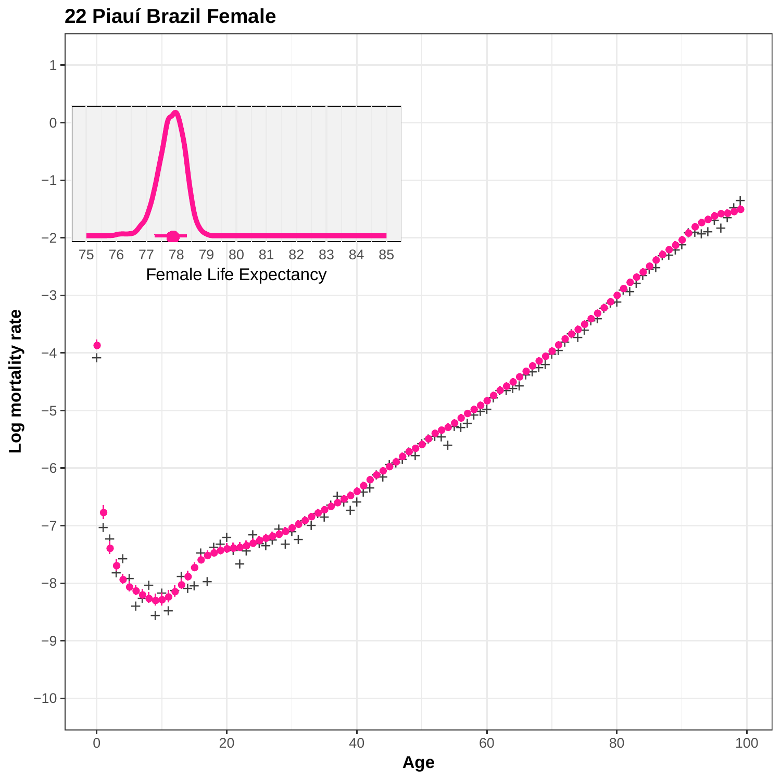

# **22 Piauí Brazil Female**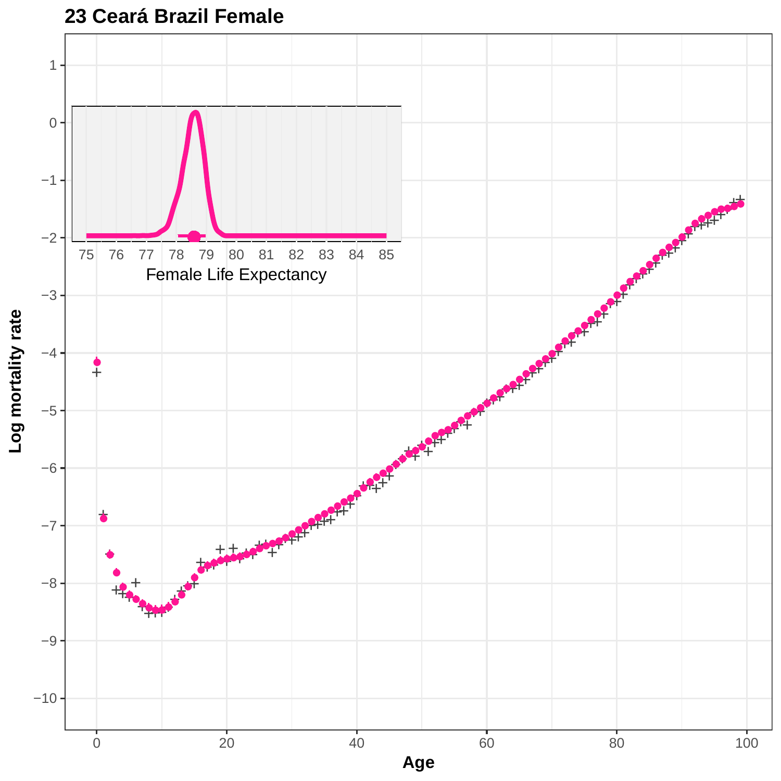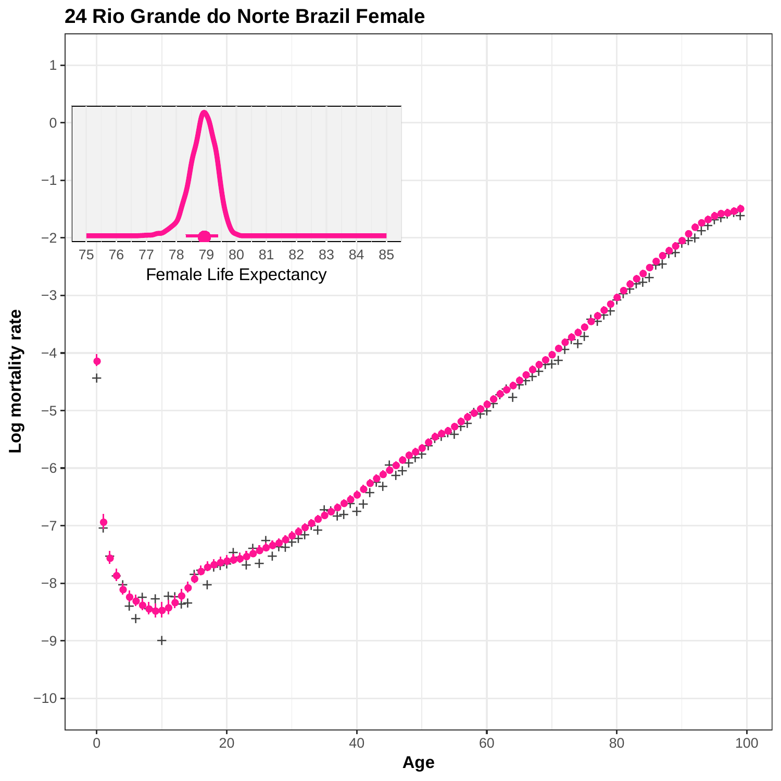

**24 Rio Grande do Norte Brazil Female**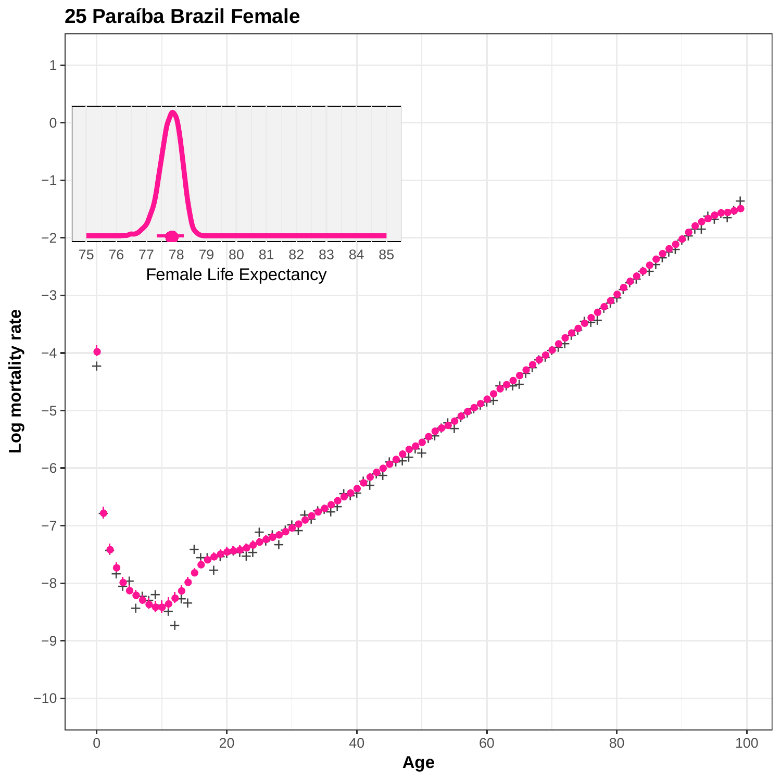

**25 Paraíba Brazil Female**

**Age**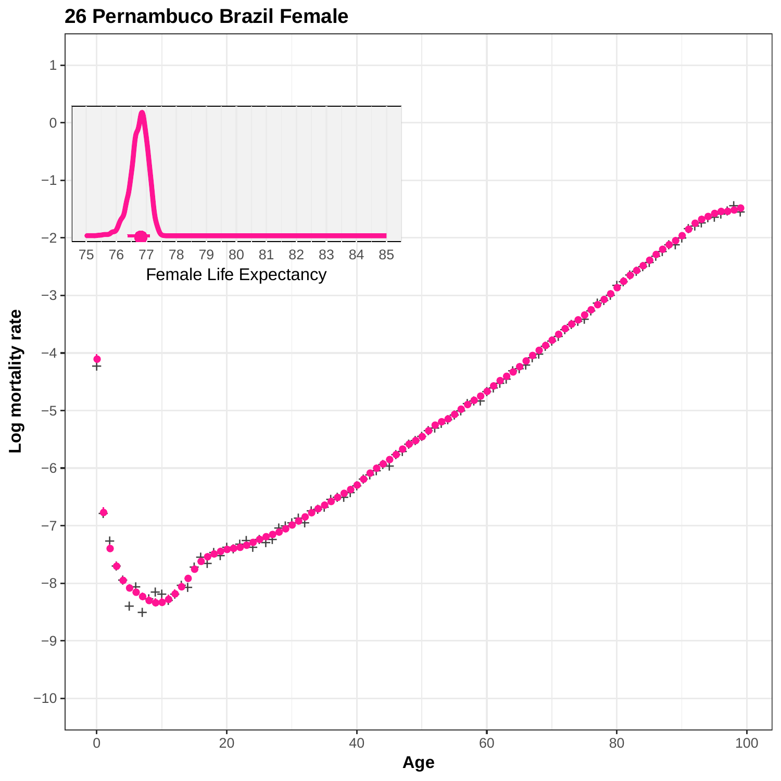

# **26 Pernambuco Brazil Female**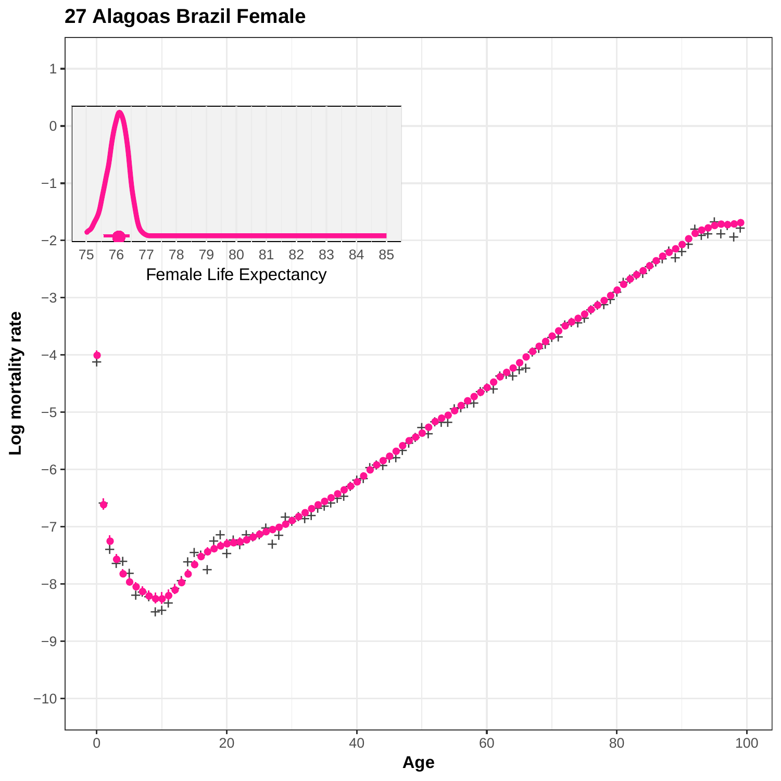# **27 Alagoas Brazil Female**

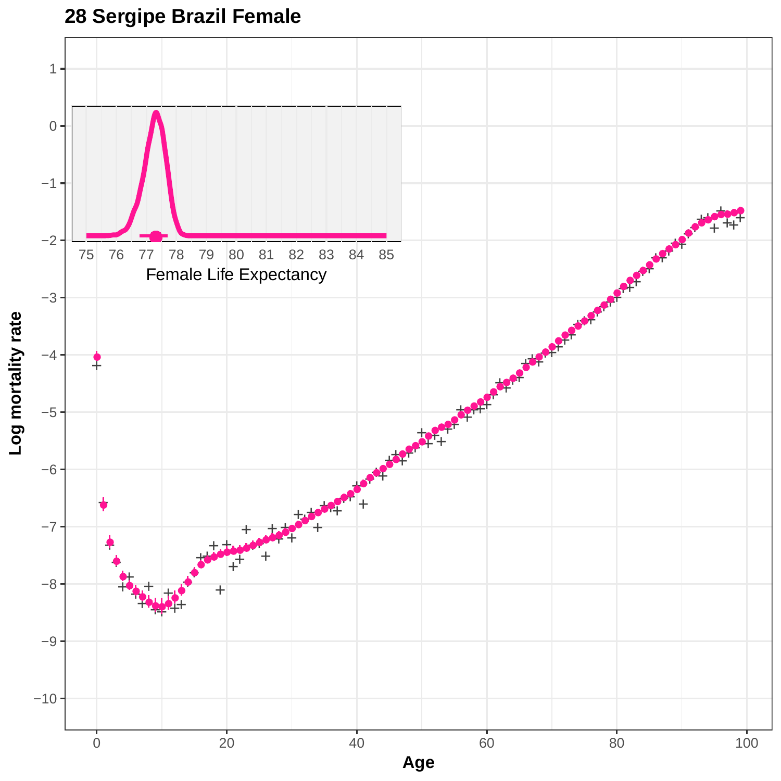

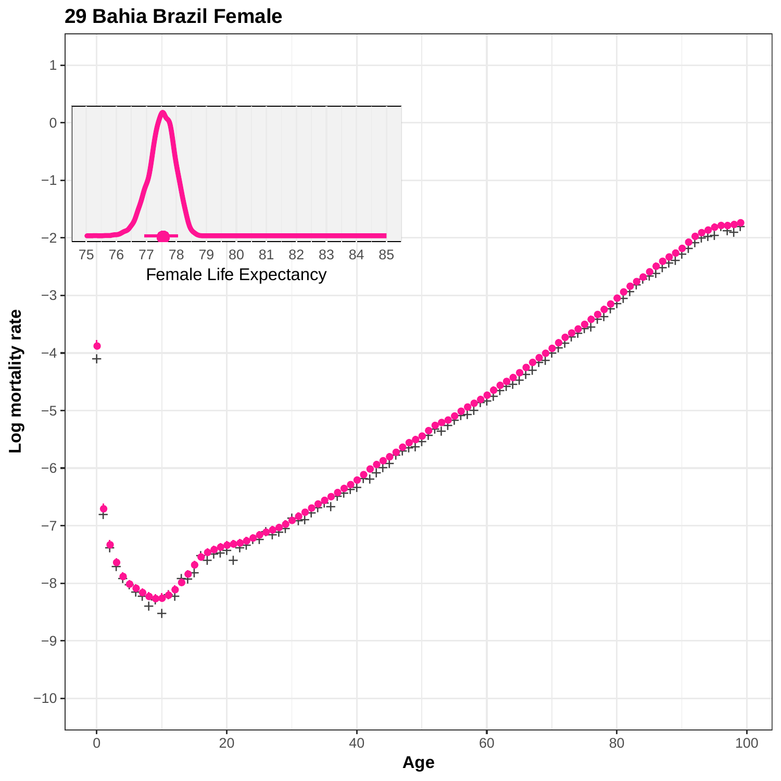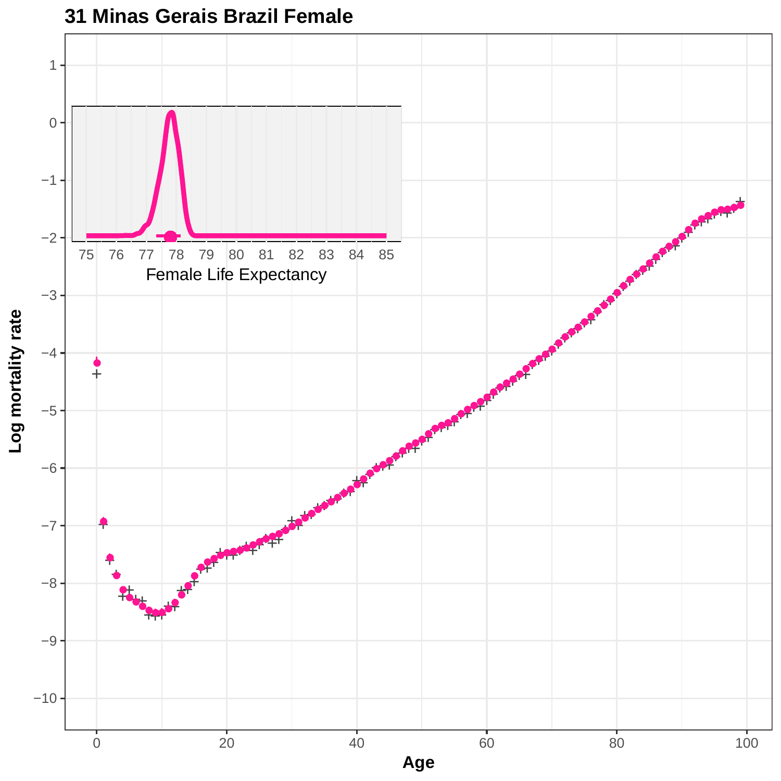

**31 Minas Gerais Brazil Female**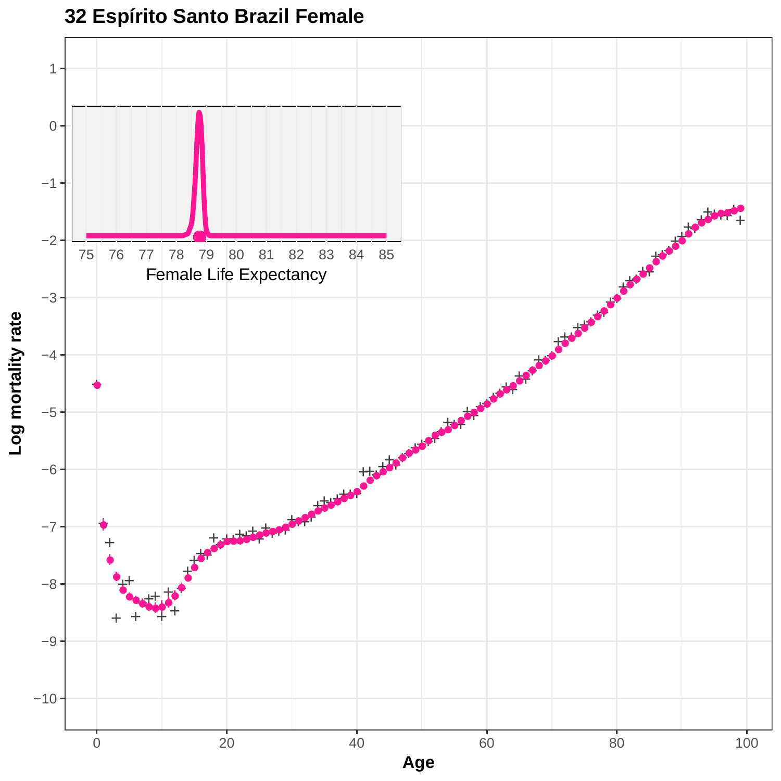

### **32 Espírito Santo Brazil Female**

**Age**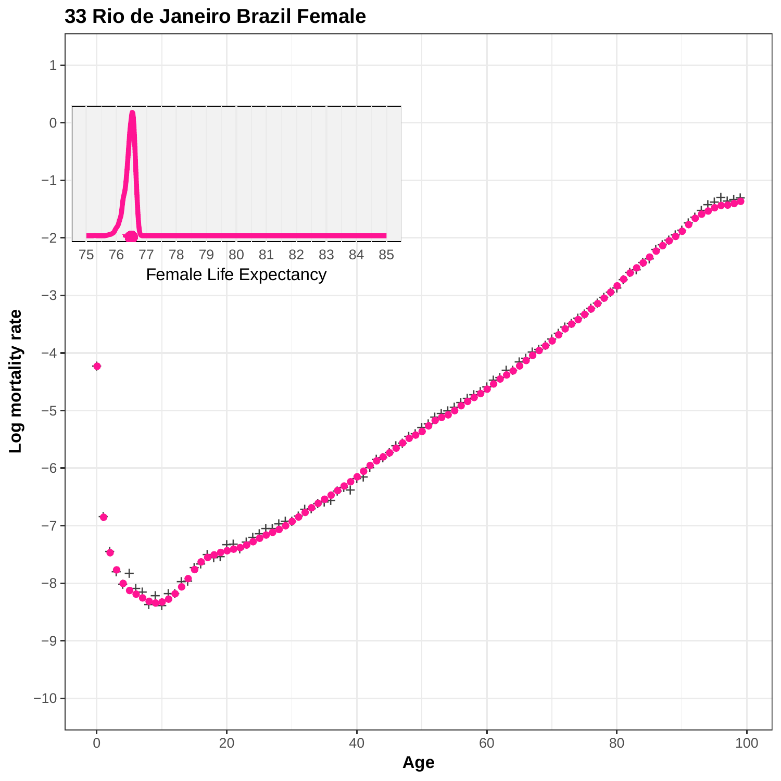

#### **33 Rio de Janeiro Brazil Female**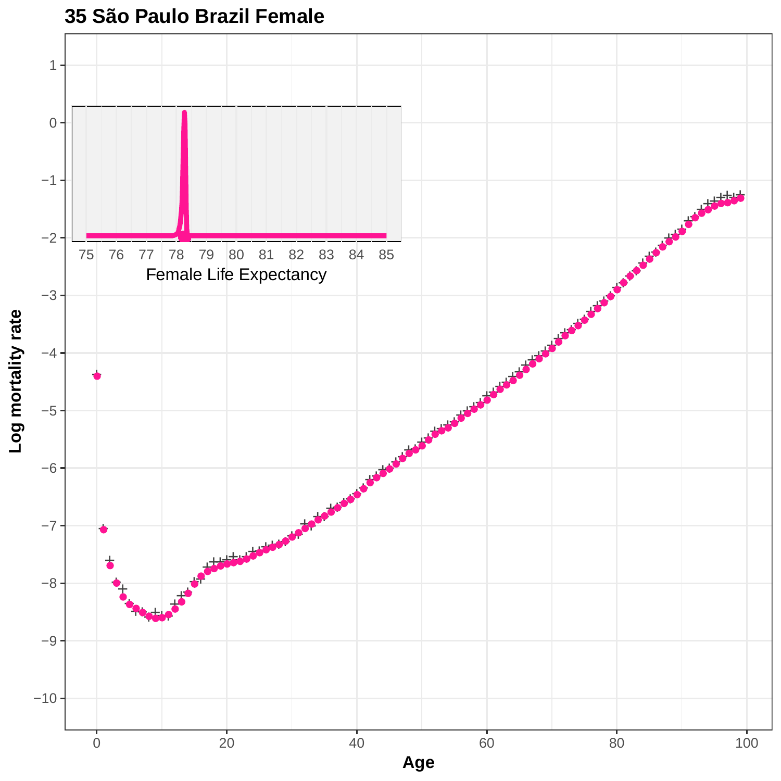

**<sup>35</sup> São Paulo Brazil Female**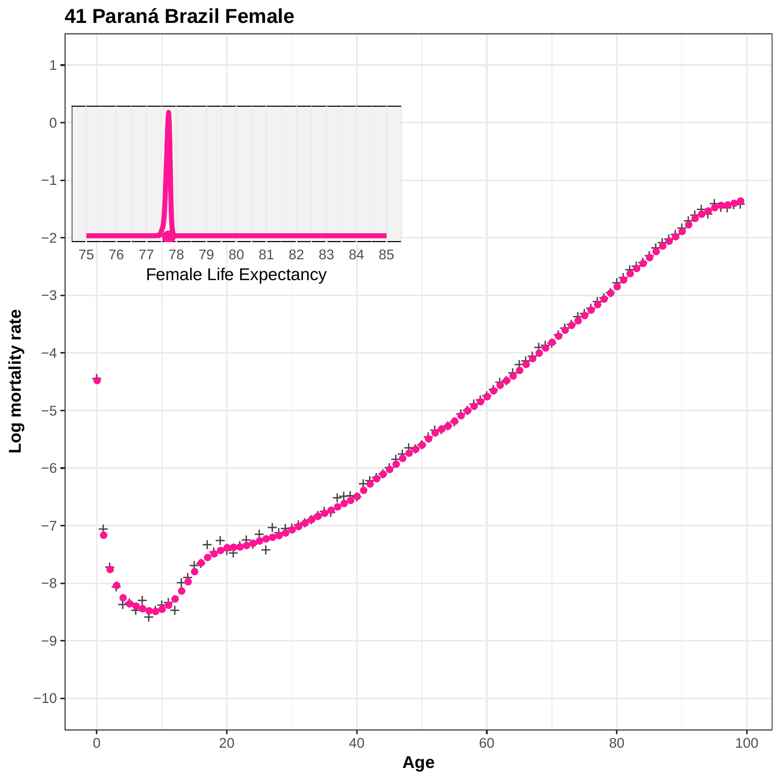

**Age**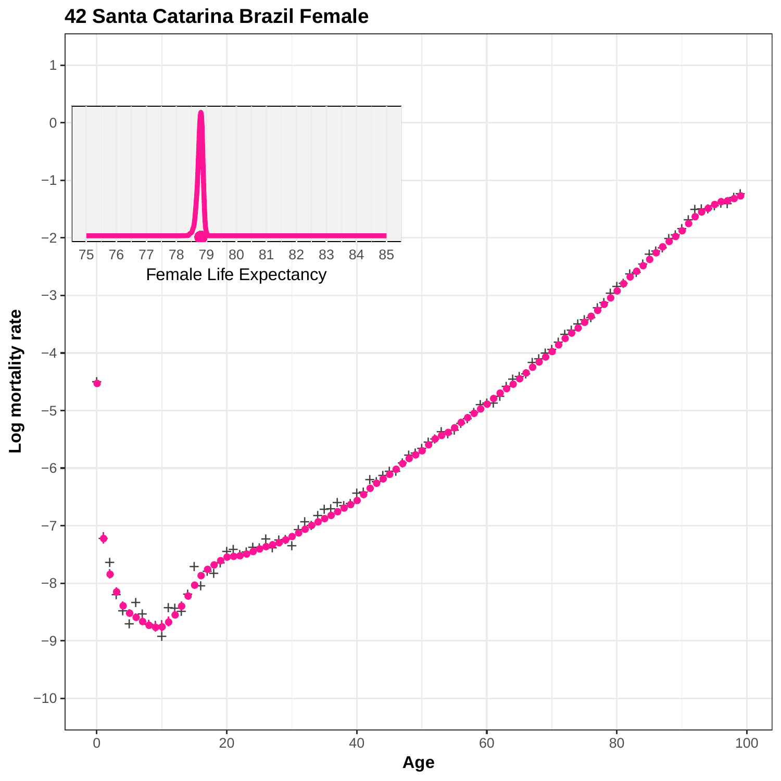

# **42 Santa Catarina Brazil Female**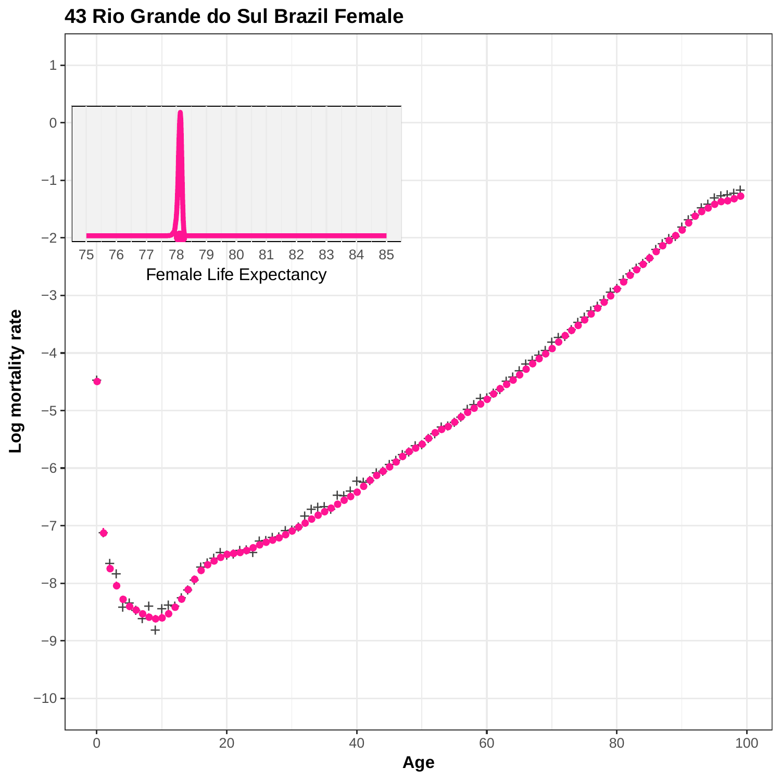

#### **43 Rio Grande do Sul Brazil Female**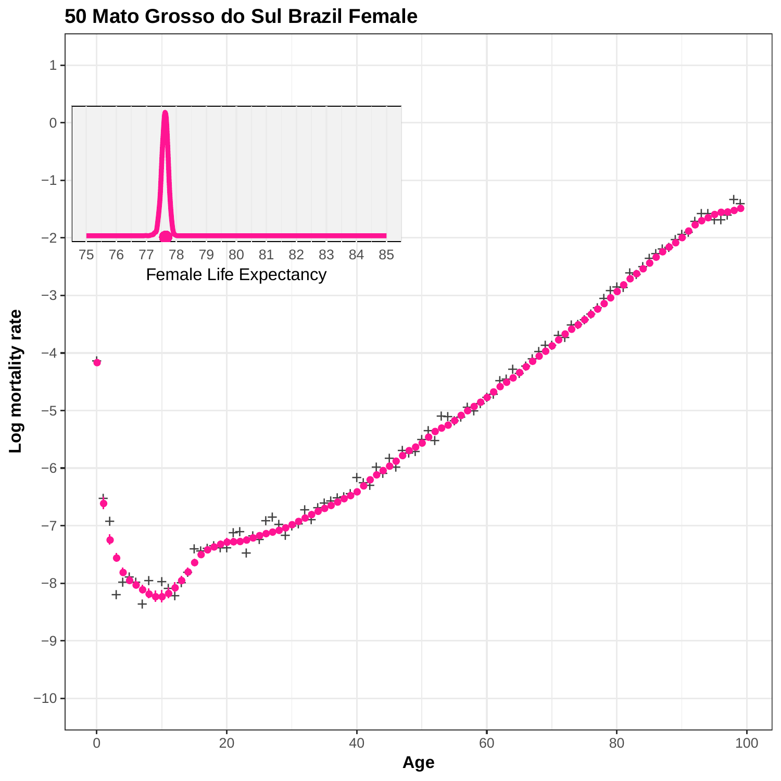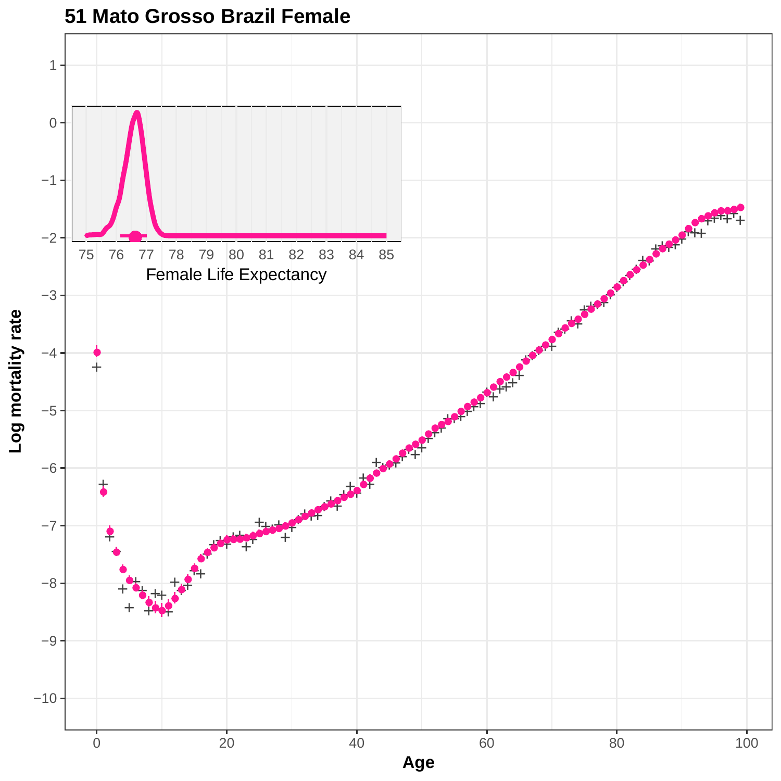

**51 Mato Grosso Brazil Female**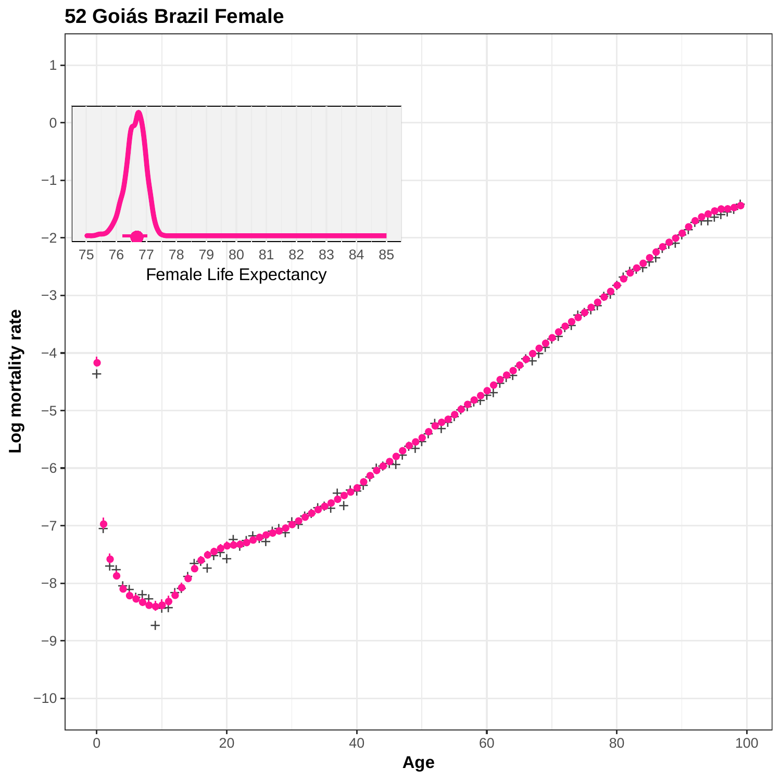

#### **52 Goiás Brazil Female**